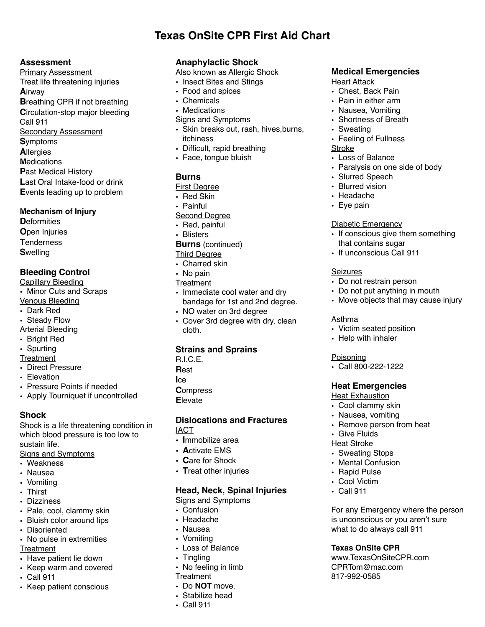# **Texas OnSite CPR First Aid Chart**

#### **Assessment**

**Primary Assessment** Treat life threatening injuries Airway **Breathing CPR if not breathing** Circulation-stop major bleeding Call 911 **Secondary Assessment Symptoms Allergies Medications Past Medical History** Last Oral Intake-food or drink Events leading up to problem

#### **Mechanism of Injury**

**D**eformities **Open Injuries Tenderness Swelling** 

# **Bleeding Control**

**Capillary Bleeding** 

- Minor Cuts and Scraps
- **Venous Bleeding**
- Dark Red
- Steady Flow
- **Arterial Bleeding**
- Bright Red
- Spurting
- Treatment
- Direct Pressure • Elevation
- 
- Pressure Points if needed
- Apply Tourniquet if uncontrolled

## **Shock**

Shock is a life threatening condition in which blood pressure is too low to sustain life. **Signs and Symptoms** 

- Weakness
- Nausea
- Vomiting
- Thirst
- Dizziness
- Pale, cool, clammy skin
- Bluish color around lips
- Disoriented
- No pulse in extremities Treatment
- Have patient lie down
- Keep warm and covered
- $\cdot$  Call 911
- Keep patient conscious

# **Anaphylactic Shock**

Also known as Allergic Shock

- Insect Bites and Stings
- Food and spices
- Chemicals
- Medications
- Signs and Symptoms
- · Skin breaks out, rash, hives, burns, *itchiness*
- Difficult, rapid breathing
- Face, tonque bluish

## **Burns**

#### **First Degree**

- Red Skin
- Painful
- **Second Degree**
- Red, painful
- Blisters
- **Burns** (continued)
- **Third Degree**
- Charred skin
- No pain
- Treatment
- Immediate cool water and dry bandage for 1st and 2nd degree.
- NO water on 3rd degree
- Cover 3rd degree with dry, clean cloth.

## **Strains and Sprains**

- $R.I.C.E.$
- Rest
- **I**ce
- **Compress**
- Elevate

#### **Dislocations and Fractures IACT**

- Immobilize area
- Activate FMS
- Care for Shock
- Treat other injuries

## **Head, Neck, Spinal Injuries**

**Signs and Symptoms** 

- Confusion
- Headache
- Nausea
- Vomiting
- Loss of Balance
- $\cdot$  Tingling
- No feeling in limb
- Treatment
- Do NOT move.
- Stabilize head
- Call 911

# **Medical Emergencies**

#### **Heart Attack**

- Chest. Back Pain
- Pain in either arm
- · Nausea. Vomiting
- Shortness of Breath
- Sweating
- Feeling of Fullness **Stroke**
- Loss of Balance
- Paralysis on one side of body
- · Slurred Speech
- Blurred vision
- Headache
- Eve pain

**Seizures** 

Asthma

Poisoning

#### **Diabetic Emergency**

- If conscious give them something that contains sugar
- If unconscious Call 911

• Do not restrain person

• Victim seated position

• Help with inhaler

 $\cdot$  Call 800-222-1222

**Heat Emergencies** 

• Cool clammy skin • Nausea, vomiting

• Remove person from heat

For any Emergency where the person

is unconscious or you aren't sure

what to do always call 911

www.TexasOnSiteCPR.com

**Texas OnSite CPR** 

CPRTom@mac.com

817-992-0585

**Heat Exhaustion** 

• Give Fluids

• Rapid Pulse

• Cool Victim

• Call 911

• Sweating Stops

• Mental Confusion

**Heat Stroke** 

• Do not put anything in mouth

• Move objects that may cause injury